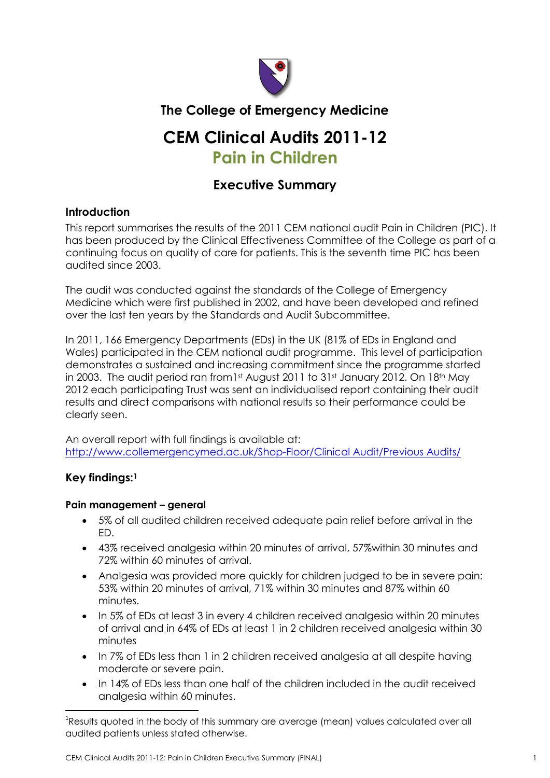

# **The College of Emergency Medicine**

# **CEM Clinical Audits 2011-12 Pain in Children**

# **Executive Summary**

# **Introduction**

This report summarises the results of the 2011 CEM national audit Pain in Children (PIC). It has been produced by the Clinical Effectiveness Committee of the College as part of a continuing focus on quality of care for patients. This is the seventh time PIC has been audited since 2003.

The audit was conducted against the standards of the College of Emergency Medicine which were first published in 2002, and have been developed and refined over the last ten years by the Standards and Audit Subcommittee.

In 2011, 166 Emergency Departments (EDs) in the UK (81% of EDs in England and Wales) participated in the CEM national audit programme. This level of participation demonstrates a sustained and increasing commitment since the programme started in 2003. The audit period ran from1st August 2011 to 31st January 2012. On 18th May 2012 each participating Trust was sent an individualised report containing their audit results and direct comparisons with national results so their performance could be clearly seen.

An overall report with full findings is available at: [http://www.collemergencymed.ac.uk/Shop-Floor/Clinical Audit/Previous Audits/](http://www.collemergencymed.ac.uk/Shop-Floor/Clinical%20Audit/Previous%20Audits/)

# **Key findings: 1**

# **Pain management – general**

- 5% of all audited children received adequate pain relief before arrival in the ED.
- 43% received analgesia within 20 minutes of arrival, 57%within 30 minutes and 72% within 60 minutes of arrival.
- Analgesia was provided more quickly for children judged to be in severe pain: 53% within 20 minutes of arrival, 71% within 30 minutes and 87% within 60 minutes.
- In 5% of EDs at least 3 in every 4 children received analgesia within 20 minutes of arrival and in 64% of EDs at least 1 in 2 children received analgesia within 30 minutes
- In 7% of EDs less than 1 in 2 children received analgesia at all despite having moderate or severe pain.
- In 14% of EDs less than one half of the children included in the audit received analgesia within 60 minutes.

 $\overline{a}$  $^{\rm 1}$ Results quoted in the body of this summary are average (mean) values calculated over all audited patients unless stated otherwise.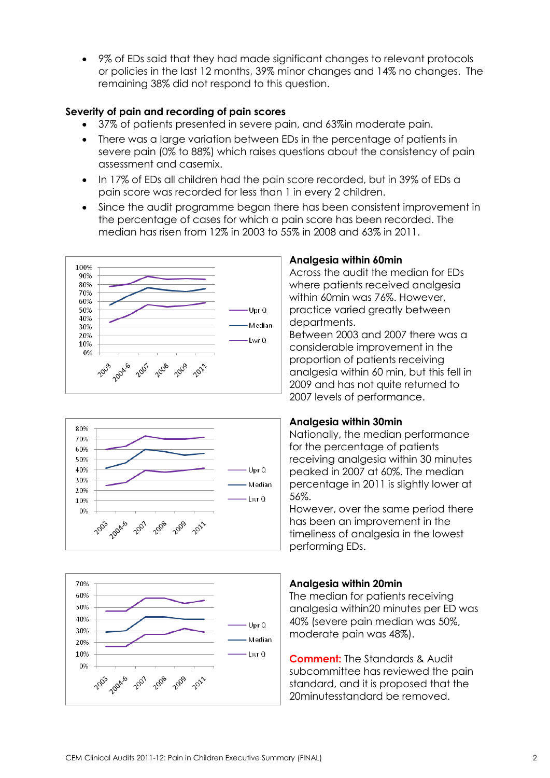9% of EDs said that they had made significant changes to relevant protocols or policies in the last 12 months, 39% minor changes and 14% no changes. The remaining 38% did not respond to this question.

### **Severity of pain and recording of pain scores**

- 37% of patients presented in severe pain, and 63%in moderate pain.
- There was a large variation between EDs in the percentage of patients in severe pain (0% to 88%) which raises questions about the consistency of pain assessment and casemix.
- In 17% of EDs all children had the pain score recorded, but in 39% of EDs a pain score was recorded for less than 1 in every 2 children.
- Since the audit programme began there has been consistent improvement in the percentage of cases for which a pain score has been recorded. The median has risen from 12% in 2003 to 55% in 2008 and 63% in 2011.







#### **Analgesia within 60min**

Across the audit the median for EDs where patients received analgesia within 60min was 76%. However, practice varied greatly between departments.

Between 2003 and 2007 there was a considerable improvement in the proportion of patients receiving analgesia within 60 min, but this fell in 2009 and has not quite returned to 2007 levels of performance.

#### **Analgesia within 30min**

Nationally, the median performance for the percentage of patients receiving analgesia within 30 minutes peaked in 2007 at 60%. The median percentage in 2011 is slightly lower at 56%.

However, over the same period there has been an improvement in the timeliness of analgesia in the lowest performing EDs.

# **Analgesia within 20min**

The median for patients receiving analgesia within20 minutes per ED was 40% (severe pain median was 50%, moderate pain was 48%).

**Comment:** The Standards & Audit subcommittee has reviewed the pain standard, and it is proposed that the 20minutesstandard be removed.